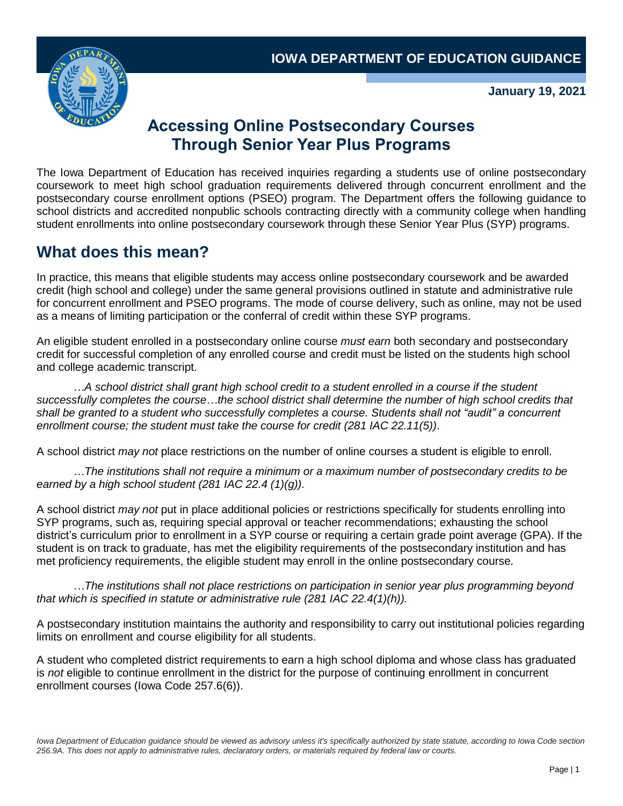

**January 19, 2021**

## **Accessing Online Postsecondary Courses Through Senior Year Plus Programs**

The Iowa Department of Education has received inquiries regarding a students use of online postsecondary coursework to meet high school graduation requirements delivered through concurrent enrollment and the postsecondary course enrollment options (PSEO) program. The Department offers the following guidance to school districts and accredited nonpublic schools contracting directly with a community college when handling student enrollments into online postsecondary coursework through these Senior Year Plus (SYP) programs.

# **What does this mean?**

In practice, this means that eligible students may access online postsecondary coursework and be awarded credit (high school and college) under the same general provisions outlined in statute and administrative rule for concurrent enrollment and PSEO programs. The mode of course delivery, such as online, may not be used as a means of limiting participation or the conferral of credit within these SYP programs.

An eligible student enrolled in a postsecondary online course *must earn* both secondary and postsecondary credit for successful completion of any enrolled course and credit must be listed on the students high school and college academic transcript.

*…A school district shall grant high school credit to a student enrolled in a course if the student*  successfully completes the course...the school district shall determine the number of high school credits that *shall be granted to a student who successfully completes a course. Students shall not "audit" a concurrent enrollment course; the student must take the course for credit (281 IAC 22.11(5))*.

A school district *may not* place restrictions on the number of online courses a student is eligible to enroll.

*…The institutions shall not require a minimum or a maximum number of postsecondary credits to be earned by a high school student (281 IAC 22.4 (1)(g)).*

A school district *may not* put in place additional policies or restrictions specifically for students enrolling into SYP programs, such as, requiring special approval or teacher recommendations; exhausting the school district's curriculum prior to enrollment in a SYP course or requiring a certain grade point average (GPA). If the student is on track to graduate, has met the eligibility requirements of the postsecondary institution and has met proficiency requirements, the eligible student may enroll in the online postsecondary course.

*…The institutions shall not place restrictions on participation in senior year plus programming beyond that which is specified in statute or administrative rule (281 IAC 22.4(1)(h)).*

A postsecondary institution maintains the authority and responsibility to carry out institutional policies regarding limits on enrollment and course eligibility for all students.

A student who completed district requirements to earn a high school diploma and whose class has graduated is *not* eligible to continue enrollment in the district for the purpose of continuing enrollment in concurrent enrollment courses (Iowa Code 257.6(6)).

Iowa Department of Education guidance should be viewed as advisory unless it's specifically authorized by state statute, according to Iowa Code section *256.9A. This does not apply to administrative rules, declaratory orders, or materials required by federal law or courts.*